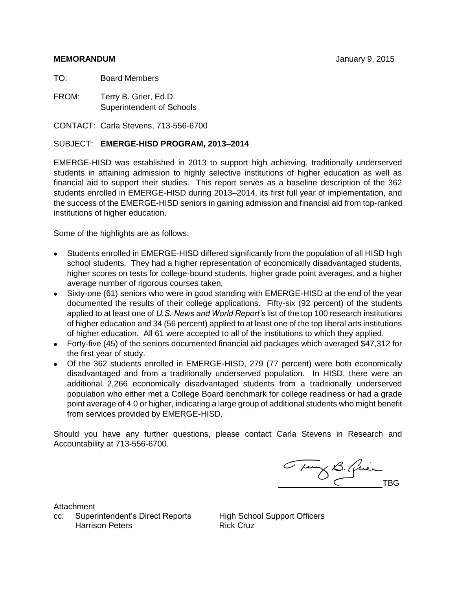# **MEMORANDUM** January 9, 2015

TO: Board Members

FROM: Terry B. Grier, Ed.D. Superintendent of Schools

CONTACT: Carla Stevens, 713-556-6700

# SUBJECT: **EMERGE-HISD PROGRAM, 2013–2014**

EMERGE-HISD was established in 2013 to support high achieving, traditionally underserved students in attaining admission to highly selective institutions of higher education as well as financial aid to support their studies. This report serves as a baseline description of the 362 students enrolled in EMERGE-HISD during 2013–2014, its first full year of implementation, and the success of the EMERGE-HISD seniors in gaining admission and financial aid from top-ranked institutions of higher education.

Some of the highlights are as follows:

- Students enrolled in EMERGE-HISD differed significantly from the population of all HISD high school students. They had a higher representation of economically disadvantaged students, higher scores on tests for college-bound students, higher grade point averages, and a higher average number of rigorous courses taken.
- Sixty-one (61) seniors who were in good standing with EMERGE-HISD at the end of the year documented the results of their college applications. Fifty-six (92 percent) of the students applied to at least one of *U.S. News and World Report's* list of the top 100 research institutions of higher education and 34 (56 percent) applied to at least one of the top liberal arts institutions of higher education. All 61 were accepted to all of the institutions to which they applied.
- Forty-five (45) of the seniors documented financial aid packages which averaged \$47,312 for the first year of study.
- Of the 362 students enrolled in EMERGE-HISD, 279 (77 percent) were both economically disadvantaged and from a traditionally underserved population. In HISD, there were an additional 2,266 economically disadvantaged students from a traditionally underserved population who either met a College Board benchmark for college readiness or had a grade point average of 4.0 or higher, indicating a large group of additional students who might benefit from services provided by EMERGE-HISD.

Should you have any further questions, please contact Carla Stevens in Research and Accountability at 713-556-6700.

Tung B. Quin

**Attachment** 

cc: Superintendent's Direct Reports High School Support Officers Harrison Peters **Rick Cruz**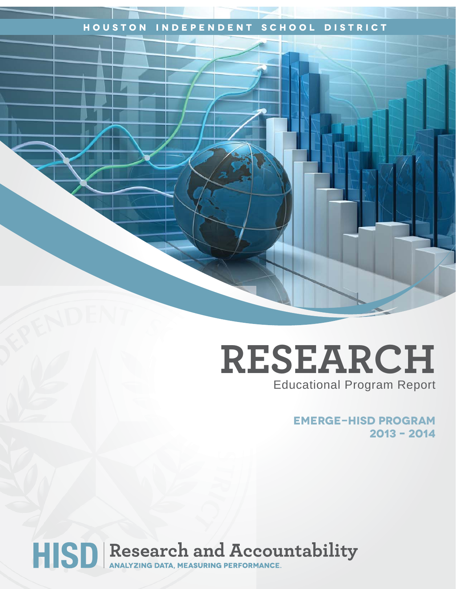# **Houston Independent School District**

# **RESEARCH** Educational Program Report

**EMERGE-HISD Program 2013 – 2014** 

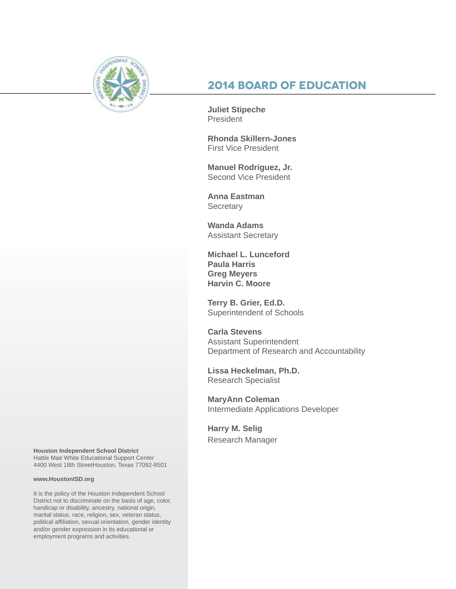

# **2014 Board of Education**

**Juliet Stipeche President** 

**Rhonda Skillern-Jones** First Vice President

**Manuel Rodriguez, Jr.** Second Vice President

**Anna Eastman Secretary** 

**Wanda Adams** Assistant Secretary

**Michael L. Lunceford Paula Harris Greg Meyers Harvin C. Moore**

**Terry B. Grier, Ed.D.** Superintendent of Schools

**Carla Stevens** Assistant Superintendent Department of Research and Accountability

**Lissa Heckelman, Ph.D.** Research Specialist

**MaryAnn Coleman** Intermediate Applications Developer

**Harry M. Selig** Research Manager

**Houston Independent School District** Hattie Mae White Educational Support Center 4400 West 18th StreetHouston, Texas 77092-8501

#### **www.HoustonISD.org**

It is the policy of the Houston Independent School District not to discriminate on the basis of age, color, handicap or disability, ancestry, national origin, marital status, race, religion, sex, veteran status, political affiliation, sexual orientation, gender identity and/or gender expression in its educational or employment programs and activities.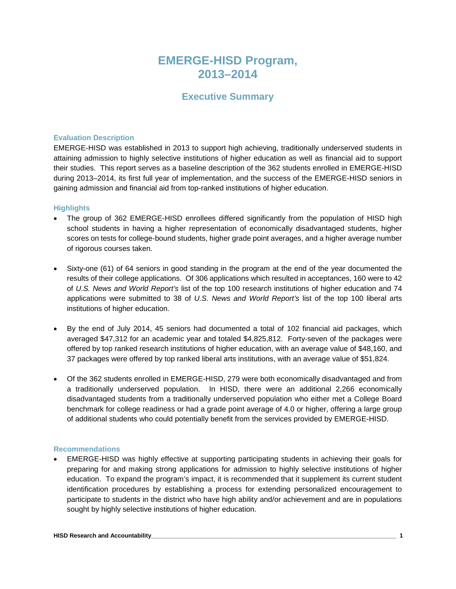# **EMERGE-HISD Program, 2013–2014**

# **Executive Summary**

#### **Evaluation Description**

EMERGE-HISD was established in 2013 to support high achieving, traditionally underserved students in attaining admission to highly selective institutions of higher education as well as financial aid to support their studies. This report serves as a baseline description of the 362 students enrolled in EMERGE-HISD during 2013–2014, its first full year of implementation, and the success of the EMERGE-HISD seniors in gaining admission and financial aid from top-ranked institutions of higher education.

#### **Highlights**

- The group of 362 EMERGE-HISD enrollees differed significantly from the population of HISD high school students in having a higher representation of economically disadvantaged students, higher scores on tests for college-bound students, higher grade point averages, and a higher average number of rigorous courses taken.
- Sixty-one (61) of 64 seniors in good standing in the program at the end of the year documented the results of their college applications. Of 306 applications which resulted in acceptances, 160 were to 42 of *U.S. News and World Report's* list of the top 100 research institutions of higher education and 74 applications were submitted to 38 of *U.S. News and World Report's* list of the top 100 liberal arts institutions of higher education.
- By the end of July 2014, 45 seniors had documented a total of 102 financial aid packages, which averaged \$47,312 for an academic year and totaled \$4,825,812. Forty-seven of the packages were offered by top ranked research institutions of higher education, with an average value of \$48,160, and 37 packages were offered by top ranked liberal arts institutions, with an average value of \$51,824.
- Of the 362 students enrolled in EMERGE-HISD, 279 were both economically disadvantaged and from a traditionally underserved population. In HISD, there were an additional 2,266 economically disadvantaged students from a traditionally underserved population who either met a College Board benchmark for college readiness or had a grade point average of 4.0 or higher, offering a large group of additional students who could potentially benefit from the services provided by EMERGE-HISD.

#### **Recommendations**

• EMERGE-HISD was highly effective at supporting participating students in achieving their goals for preparing for and making strong applications for admission to highly selective institutions of higher education. To expand the program's impact, it is recommended that it supplement its current student identification procedures by establishing a process for extending personalized encouragement to participate to students in the district who have high ability and/or achievement and are in populations sought by highly selective institutions of higher education.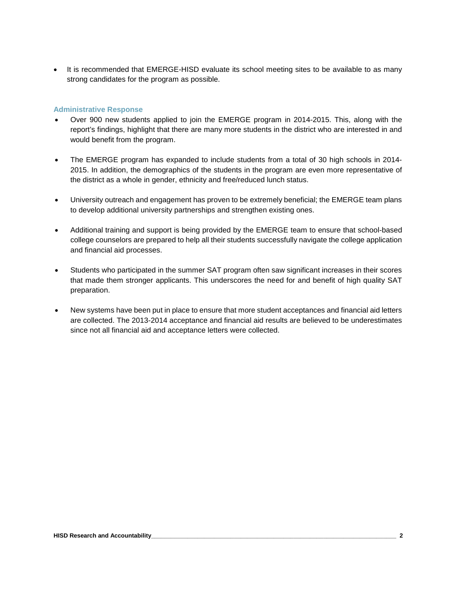• It is recommended that EMERGE-HISD evaluate its school meeting sites to be available to as many strong candidates for the program as possible.

## **Administrative Response**

- Over 900 new students applied to join the EMERGE program in 2014-2015. This, along with the report's findings, highlight that there are many more students in the district who are interested in and would benefit from the program.
- The EMERGE program has expanded to include students from a total of 30 high schools in 2014- 2015. In addition, the demographics of the students in the program are even more representative of the district as a whole in gender, ethnicity and free/reduced lunch status.
- University outreach and engagement has proven to be extremely beneficial; the EMERGE team plans to develop additional university partnerships and strengthen existing ones.
- Additional training and support is being provided by the EMERGE team to ensure that school-based college counselors are prepared to help all their students successfully navigate the college application and financial aid processes.
- Students who participated in the summer SAT program often saw significant increases in their scores that made them stronger applicants. This underscores the need for and benefit of high quality SAT preparation.
- New systems have been put in place to ensure that more student acceptances and financial aid letters are collected. The 2013-2014 acceptance and financial aid results are believed to be underestimates since not all financial aid and acceptance letters were collected.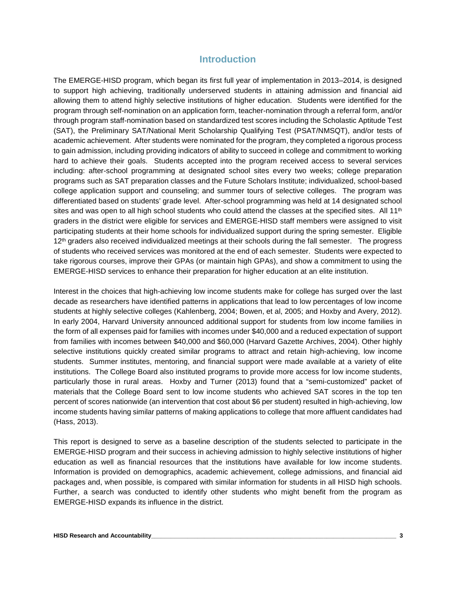# **Introduction**

The EMERGE-HISD program, which began its first full year of implementation in 2013–2014, is designed to support high achieving, traditionally underserved students in attaining admission and financial aid allowing them to attend highly selective institutions of higher education. Students were identified for the program through self-nomination on an application form, teacher-nomination through a referral form, and/or through program staff-nomination based on standardized test scores including the Scholastic Aptitude Test (SAT), the Preliminary SAT/National Merit Scholarship Qualifying Test (PSAT/NMSQT), and/or tests of academic achievement. After students were nominated for the program, they completed a rigorous process to gain admission, including providing indicators of ability to succeed in college and commitment to working hard to achieve their goals. Students accepted into the program received access to several services including: after-school programming at designated school sites every two weeks; college preparation programs such as SAT preparation classes and the Future Scholars Institute; individualized, school-based college application support and counseling; and summer tours of selective colleges. The program was differentiated based on students' grade level. After-school programming was held at 14 designated school sites and was open to all high school students who could attend the classes at the specified sites. All  $11<sup>th</sup>$ graders in the district were eligible for services and EMERGE-HISD staff members were assigned to visit participating students at their home schools for individualized support during the spring semester. Eligible 12<sup>th</sup> graders also received individualized meetings at their schools during the fall semester. The progress of students who received services was monitored at the end of each semester. Students were expected to take rigorous courses, improve their GPAs (or maintain high GPAs), and show a commitment to using the EMERGE-HISD services to enhance their preparation for higher education at an elite institution.

Interest in the choices that high-achieving low income students make for college has surged over the last decade as researchers have identified patterns in applications that lead to low percentages of low income students at highly selective colleges (Kahlenberg, 2004; Bowen, et al, 2005; and Hoxby and Avery, 2012). In early 2004, Harvard University announced additional support for students from low income families in the form of all expenses paid for families with incomes under \$40,000 and a reduced expectation of support from families with incomes between \$40,000 and \$60,000 (Harvard Gazette Archives, 2004). Other highly selective institutions quickly created similar programs to attract and retain high-achieving, low income students. Summer institutes, mentoring, and financial support were made available at a variety of elite institutions. The College Board also instituted programs to provide more access for low income students, particularly those in rural areas. Hoxby and Turner (2013) found that a "semi-customized" packet of materials that the College Board sent to low income students who achieved SAT scores in the top ten percent of scores nationwide (an intervention that cost about \$6 per student) resulted in high-achieving, low income students having similar patterns of making applications to college that more affluent candidates had (Hass, 2013).

This report is designed to serve as a baseline description of the students selected to participate in the EMERGE-HISD program and their success in achieving admission to highly selective institutions of higher education as well as financial resources that the institutions have available for low income students. Information is provided on demographics, academic achievement, college admissions, and financial aid packages and, when possible, is compared with similar information for students in all HISD high schools. Further, a search was conducted to identify other students who might benefit from the program as EMERGE-HISD expands its influence in the district.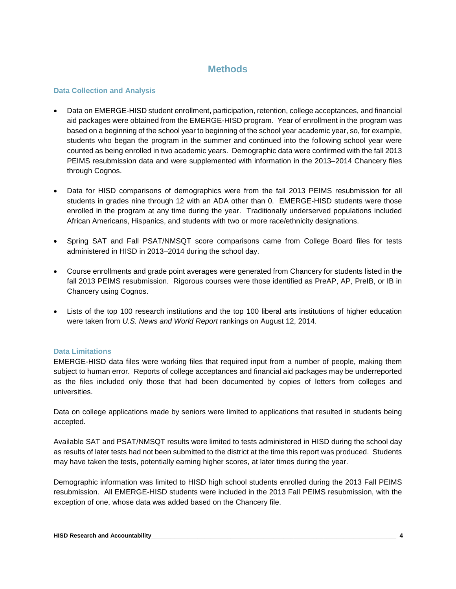# **Methods**

# **Data Collection and Analysis**

- Data on EMERGE-HISD student enrollment, participation, retention, college acceptances, and financial aid packages were obtained from the EMERGE-HISD program. Year of enrollment in the program was based on a beginning of the school year to beginning of the school year academic year, so, for example, students who began the program in the summer and continued into the following school year were counted as being enrolled in two academic years. Demographic data were confirmed with the fall 2013 PEIMS resubmission data and were supplemented with information in the 2013–2014 Chancery files through Cognos.
- Data for HISD comparisons of demographics were from the fall 2013 PEIMS resubmission for all students in grades nine through 12 with an ADA other than 0. EMERGE-HISD students were those enrolled in the program at any time during the year. Traditionally underserved populations included African Americans, Hispanics, and students with two or more race/ethnicity designations.
- Spring SAT and Fall PSAT/NMSQT score comparisons came from College Board files for tests administered in HISD in 2013–2014 during the school day.
- Course enrollments and grade point averages were generated from Chancery for students listed in the fall 2013 PEIMS resubmission. Rigorous courses were those identified as PreAP, AP, PreIB, or IB in Chancery using Cognos.
- Lists of the top 100 research institutions and the top 100 liberal arts institutions of higher education were taken from *U.S. News and World Report* rankings on August 12, 2014.

# **Data Limitations**

EMERGE-HISD data files were working files that required input from a number of people, making them subject to human error. Reports of college acceptances and financial aid packages may be underreported as the files included only those that had been documented by copies of letters from colleges and universities.

Data on college applications made by seniors were limited to applications that resulted in students being accepted.

Available SAT and PSAT/NMSQT results were limited to tests administered in HISD during the school day as results of later tests had not been submitted to the district at the time this report was produced. Students may have taken the tests, potentially earning higher scores, at later times during the year.

Demographic information was limited to HISD high school students enrolled during the 2013 Fall PEIMS resubmission. All EMERGE-HISD students were included in the 2013 Fall PEIMS resubmission, with the exception of one, whose data was added based on the Chancery file.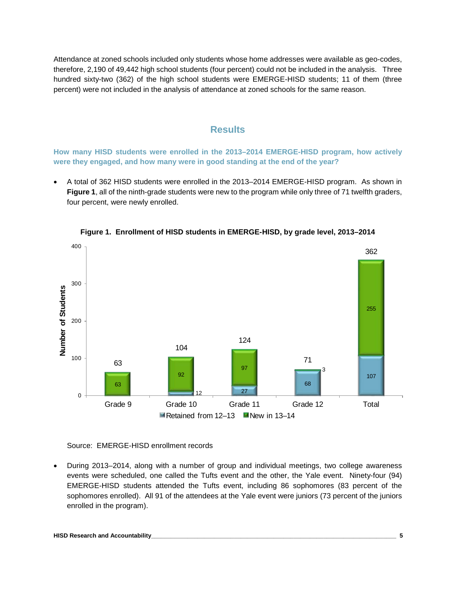Attendance at zoned schools included only students whose home addresses were available as geo-codes, therefore, 2,190 of 49,442 high school students (four percent) could not be included in the analysis. Three hundred sixty-two (362) of the high school students were EMERGE-HISD students; 11 of them (three percent) were not included in the analysis of attendance at zoned schools for the same reason.

# **Results**

**How many HISD students were enrolled in the 2013–2014 EMERGE-HISD program, how actively were they engaged, and how many were in good standing at the end of the year?**

• A total of 362 HISD students were enrolled in the 2013–2014 EMERGE-HISD program. As shown in **Figure 1**, all of the ninth-grade students were new to the program while only three of 71 twelfth graders, four percent, were newly enrolled.



**Figure 1. Enrollment of HISD students in EMERGE-HISD, by grade level, 2013–2014**

Source: EMERGE-HISD enrollment records

• During 2013–2014, along with a number of group and individual meetings, two college awareness events were scheduled, one called the Tufts event and the other, the Yale event. Ninety-four (94) EMERGE-HISD students attended the Tufts event, including 86 sophomores (83 percent of the sophomores enrolled). All 91 of the attendees at the Yale event were juniors (73 percent of the juniors enrolled in the program).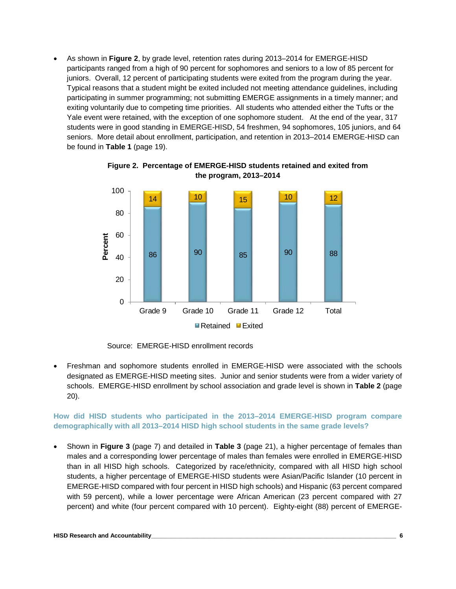• As shown in **Figure 2**, by grade level, retention rates during 2013–2014 for EMERGE-HISD participants ranged from a high of 90 percent for sophomores and seniors to a low of 85 percent for juniors. Overall, 12 percent of participating students were exited from the program during the year. Typical reasons that a student might be exited included not meeting attendance guidelines, including participating in summer programming; not submitting EMERGE assignments in a timely manner; and exiting voluntarily due to competing time priorities. All students who attended either the Tufts or the Yale event were retained, with the exception of one sophomore student. At the end of the year, 317 students were in good standing in EMERGE-HISD, 54 freshmen, 94 sophomores, 105 juniors, and 64 seniors. More detail about enrollment, participation, and retention in 2013–2014 EMERGE-HISD can be found in **Table 1** (page 19).



**Figure 2. Percentage of EMERGE-HISD students retained and exited from the program, 2013–2014**

Source: EMERGE-HISD enrollment records

• Freshman and sophomore students enrolled in EMERGE-HISD were associated with the schools designated as EMERGE-HISD meeting sites. Junior and senior students were from a wider variety of schools. EMERGE-HISD enrollment by school association and grade level is shown in **Table 2** (page 20).

# **How did HISD students who participated in the 2013–2014 EMERGE-HISD program compare demographically with all 2013–2014 HISD high school students in the same grade levels?**

• Shown in **Figure 3** (page 7) and detailed in **Table 3** (page 21), a higher percentage of females than males and a corresponding lower percentage of males than females were enrolled in EMERGE-HISD than in all HISD high schools. Categorized by race/ethnicity, compared with all HISD high school students, a higher percentage of EMERGE-HISD students were Asian/Pacific Islander (10 percent in EMERGE-HISD compared with four percent in HISD high schools) and Hispanic (63 percent compared with 59 percent), while a lower percentage were African American (23 percent compared with 27 percent) and white (four percent compared with 10 percent). Eighty-eight (88) percent of EMERGE-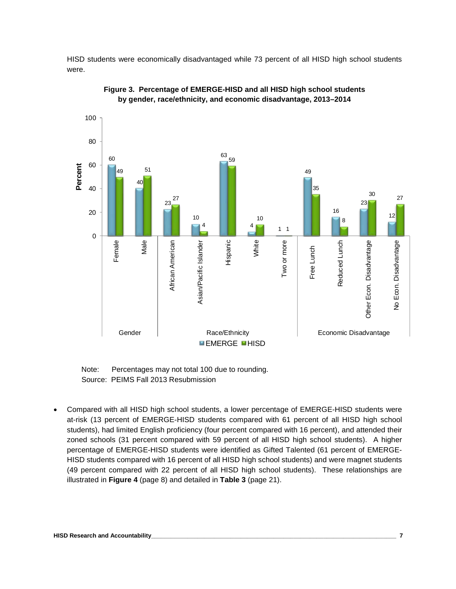HISD students were economically disadvantaged while 73 percent of all HISD high school students were.





 Note: Percentages may not total 100 due to rounding. Source: PEIMS Fall 2013 Resubmission

• Compared with all HISD high school students, a lower percentage of EMERGE-HISD students were at-risk (13 percent of EMERGE-HISD students compared with 61 percent of all HISD high school students), had limited English proficiency (four percent compared with 16 percent), and attended their zoned schools (31 percent compared with 59 percent of all HISD high school students). A higher percentage of EMERGE-HISD students were identified as Gifted Talented (61 percent of EMERGE-HISD students compared with 16 percent of all HISD high school students) and were magnet students (49 percent compared with 22 percent of all HISD high school students). These relationships are illustrated in **Figure 4** (page 8) and detailed in **Table 3** (page 21).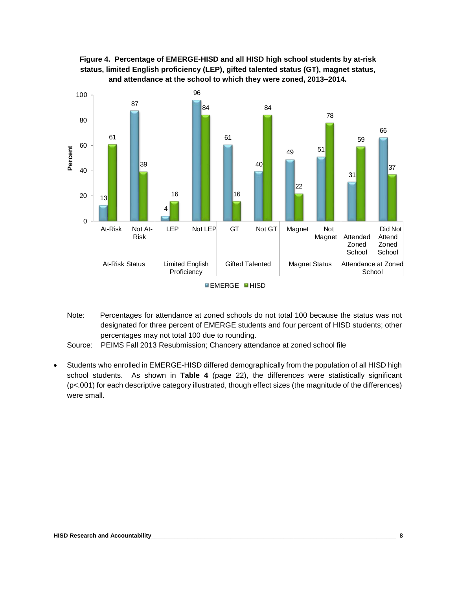



Note: Percentages for attendance at zoned schools do not total 100 because the status was not designated for three percent of EMERGE students and four percent of HISD students; other percentages may not total 100 due to rounding.

• Students who enrolled in EMERGE-HISD differed demographically from the population of all HISD high school students. As shown in **Table 4** (page 22), the differences were statistically significant (p<.001) for each descriptive category illustrated, though effect sizes (the magnitude of the differences) were small.

Source: PEIMS Fall 2013 Resubmission; Chancery attendance at zoned school file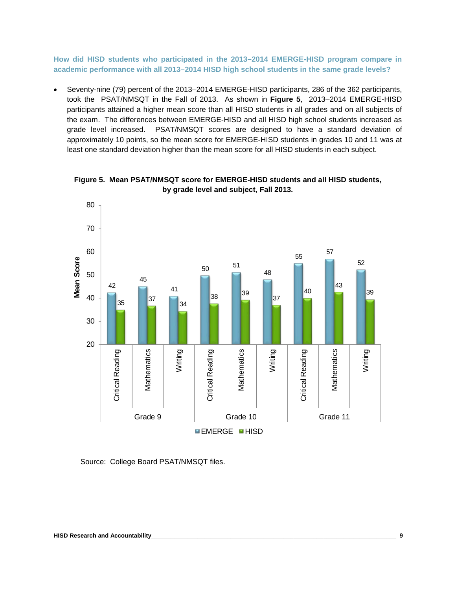**How did HISD students who participated in the 2013–2014 EMERGE-HISD program compare in academic performance with all 2013–2014 HISD high school students in the same grade levels?** 

• Seventy-nine (79) percent of the 2013–2014 EMERGE-HISD participants, 286 of the 362 participants, took the PSAT/NMSQT in the Fall of 2013. As shown in **Figure 5**, 2013–2014 EMERGE-HISD participants attained a higher mean score than all HISD students in all grades and on all subjects of the exam. The differences between EMERGE-HISD and all HISD high school students increased as grade level increased. PSAT/NMSQT scores are designed to have a standard deviation of approximately 10 points, so the mean score for EMERGE-HISD students in grades 10 and 11 was at least one standard deviation higher than the mean score for all HISD students in each subject.



**Figure 5. Mean PSAT/NMSQT score for EMERGE-HISD students and all HISD students, by grade level and subject, Fall 2013.**

Source: College Board PSAT/NMSQT files.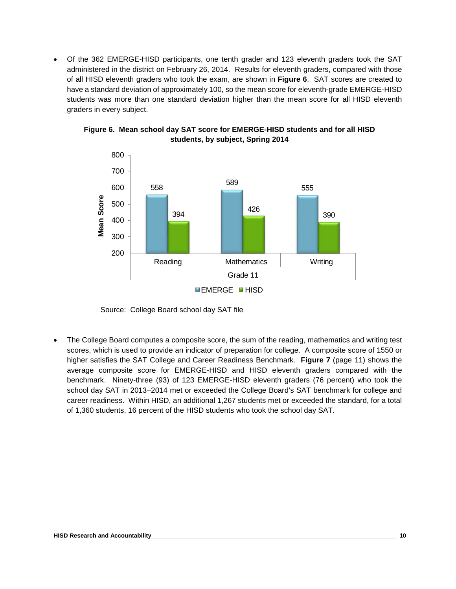• Of the 362 EMERGE-HISD participants, one tenth grader and 123 eleventh graders took the SAT administered in the district on February 26, 2014. Results for eleventh graders, compared with those of all HISD eleventh graders who took the exam, are shown in **Figure 6**. SAT scores are created to have a standard deviation of approximately 100, so the mean score for eleventh-grade EMERGE-HISD students was more than one standard deviation higher than the mean score for all HISD eleventh graders in every subject.



**Figure 6. Mean school day SAT score for EMERGE-HISD students and for all HISD students, by subject, Spring 2014**

Source: College Board school day SAT file

The College Board computes a composite score, the sum of the reading, mathematics and writing test scores, which is used to provide an indicator of preparation for college. A composite score of 1550 or higher satisfies the SAT College and Career Readiness Benchmark. **Figure 7** (page 11) shows the average composite score for EMERGE-HISD and HISD eleventh graders compared with the benchmark. Ninety-three (93) of 123 EMERGE-HISD eleventh graders (76 percent) who took the school day SAT in 2013–2014 met or exceeded the College Board's SAT benchmark for college and career readiness. Within HISD, an additional 1,267 students met or exceeded the standard, for a total of 1,360 students, 16 percent of the HISD students who took the school day SAT.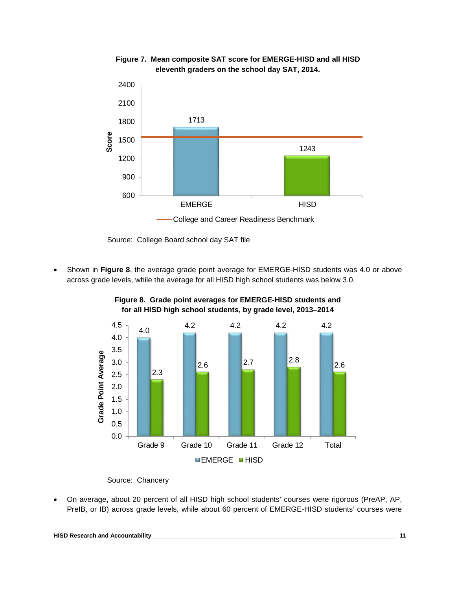

**Figure 7. Mean composite SAT score for EMERGE-HISD and all HISD eleventh graders on the school day SAT, 2014.**

Source: College Board school day SAT file

• Shown in **Figure 8**, the average grade point average for EMERGE-HISD students was 4.0 or above across grade levels, while the average for all HISD high school students was below 3.0.



**Figure 8. Grade point averages for EMERGE-HISD students and for all HISD high school students, by grade level, 2013–2014**

Source: Chancery

• On average, about 20 percent of all HISD high school students' courses were rigorous (PreAP, AP, PreIB, or IB) across grade levels, while about 60 percent of EMERGE-HISD students' courses were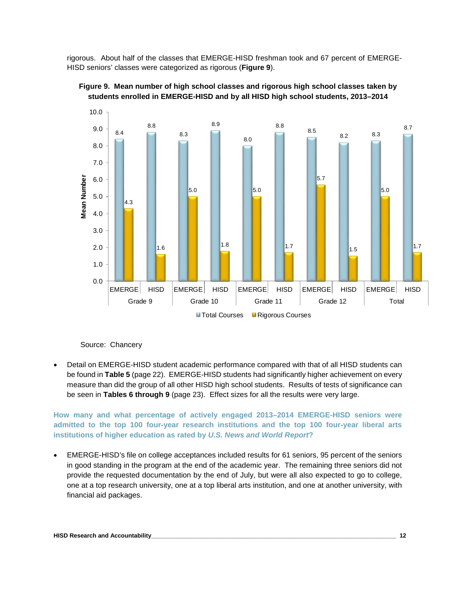rigorous. About half of the classes that EMERGE-HISD freshman took and 67 percent of EMERGE-HISD seniors' classes were categorized as rigorous (**Figure 9**).





Source: Chancery

• Detail on EMERGE-HISD student academic performance compared with that of all HISD students can be found in **Table 5** (page 22). EMERGE-HISD students had significantly higher achievement on every measure than did the group of all other HISD high school students. Results of tests of significance can be seen in **Tables 6 through 9** (page 23). Effect sizes for all the results were very large.

# **How many and what percentage of actively engaged 2013–2014 EMERGE-HISD seniors were admitted to the top 100 four-year research institutions and the top 100 four-year liberal arts institutions of higher education as rated by** *U.S. News and World Report***?**

• EMERGE-HISD's file on college acceptances included results for 61 seniors, 95 percent of the seniors in good standing in the program at the end of the academic year. The remaining three seniors did not provide the requested documentation by the end of July, but were all also expected to go to college, one at a top research university, one at a top liberal arts institution, and one at another university, with financial aid packages.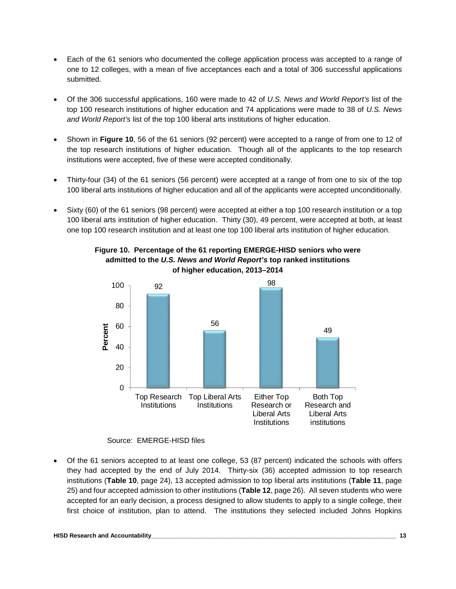- Each of the 61 seniors who documented the college application process was accepted to a range of one to 12 colleges, with a mean of five acceptances each and a total of 306 successful applications submitted.
- Of the 306 successful applications, 160 were made to 42 of *U.S. News and World Report's* list of the top 100 research institutions of higher education and 74 applications were made to 38 of *U.S. News and World Report's* list of the top 100 liberal arts institutions of higher education.
- Shown in **Figure 10**, 56 of the 61 seniors (92 percent) were accepted to a range of from one to 12 of the top research institutions of higher education. Though all of the applicants to the top research institutions were accepted, five of these were accepted conditionally.
- Thirty-four (34) of the 61 seniors (56 percent) were accepted at a range of from one to six of the top 100 liberal arts institutions of higher education and all of the applicants were accepted unconditionally.
- Sixty (60) of the 61 seniors (98 percent) were accepted at either a top 100 research institution or a top 100 liberal arts institution of higher education. Thirty (30), 49 percent, were accepted at both, at least one top 100 research institution and at least one top 100 liberal arts institution of higher education.



# **Figure 10. Percentage of the 61 reporting EMERGE-HISD seniors who were admitted to the** *U.S. News and World Report's* **top ranked institutions of higher education, 2013–2014**

Source: EMERGE-HISD files

• Of the 61 seniors accepted to at least one college, 53 (87 percent) indicated the schools with offers they had accepted by the end of July 2014. Thirty-six (36) accepted admission to top research institutions (**Table 10**, page 24), 13 accepted admission to top liberal arts institutions (**Table 11**, page 25) and four accepted admission to other institutions (**Table 12**, page 26). All seven students who were accepted for an early decision, a process designed to allow students to apply to a single college, their first choice of institution, plan to attend. The institutions they selected included Johns Hopkins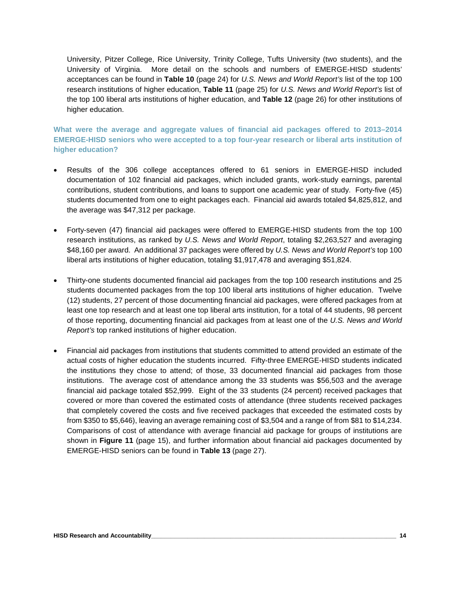University, Pitzer College, Rice University, Trinity College, Tufts University (two students), and the University of Virginia. More detail on the schools and numbers of EMERGE-HISD students' acceptances can be found in **Table 10** (page 24) for *U.S. News and World Report's* list of the top 100 research institutions of higher education, **Table 11** (page 25) for *U.S. News and World Report's* list of the top 100 liberal arts institutions of higher education, and **Table 12** (page 26) for other institutions of higher education.

**What were the average and aggregate values of financial aid packages offered to 2013–2014 EMERGE-HISD seniors who were accepted to a top four-year research or liberal arts institution of higher education?**

- Results of the 306 college acceptances offered to 61 seniors in EMERGE-HISD included documentation of 102 financial aid packages, which included grants, work-study earnings, parental contributions, student contributions, and loans to support one academic year of study. Forty-five (45) students documented from one to eight packages each. Financial aid awards totaled \$4,825,812, and the average was \$47,312 per package.
- Forty-seven (47) financial aid packages were offered to EMERGE-HISD students from the top 100 research institutions, as ranked by *U.S. News and World Report*, totaling \$2,263,527 and averaging \$48,160 per award. An additional 37 packages were offered by *U.S. News and World Report's* top 100 liberal arts institutions of higher education, totaling \$1,917,478 and averaging \$51,824.
- Thirty-one students documented financial aid packages from the top 100 research institutions and 25 students documented packages from the top 100 liberal arts institutions of higher education. Twelve (12) students, 27 percent of those documenting financial aid packages, were offered packages from at least one top research and at least one top liberal arts institution, for a total of 44 students, 98 percent of those reporting, documenting financial aid packages from at least one of the *U.S. News and World Report's* top ranked institutions of higher education.
- Financial aid packages from institutions that students committed to attend provided an estimate of the actual costs of higher education the students incurred. Fifty-three EMERGE-HISD students indicated the institutions they chose to attend; of those, 33 documented financial aid packages from those institutions. The average cost of attendance among the 33 students was \$56,503 and the average financial aid package totaled \$52,999. Eight of the 33 students (24 percent) received packages that covered or more than covered the estimated costs of attendance (three students received packages that completely covered the costs and five received packages that exceeded the estimated costs by from \$350 to \$5,646), leaving an average remaining cost of \$3,504 and a range of from \$81 to \$14,234. Comparisons of cost of attendance with average financial aid package for groups of institutions are shown in **Figure 11** (page 15), and further information about financial aid packages documented by EMERGE-HISD seniors can be found in **Table 13** (page 27).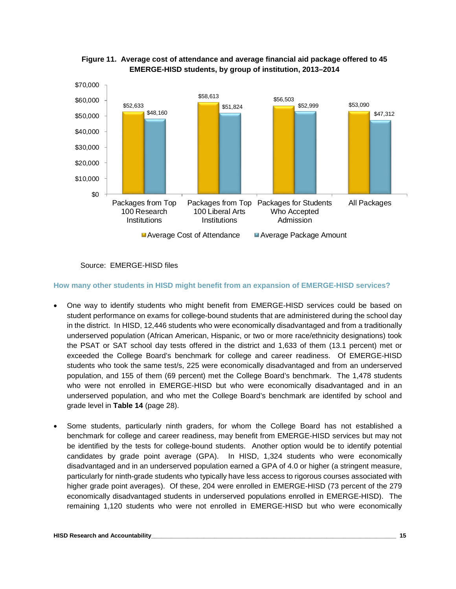

**Figure 11. Average cost of attendance and average financial aid package offered to 45 EMERGE-HISD students, by group of institution, 2013–2014**

Source: EMERGE-HISD files

**How many other students in HISD might benefit from an expansion of EMERGE-HISD services?**

- One way to identify students who might benefit from EMERGE-HISD services could be based on student performance on exams for college-bound students that are administered during the school day in the district. In HISD, 12,446 students who were economically disadvantaged and from a traditionally underserved population (African American, Hispanic, or two or more race/ethnicity designations) took the PSAT or SAT school day tests offered in the district and 1,633 of them (13.1 percent) met or exceeded the College Board's benchmark for college and career readiness. Of EMERGE-HISD students who took the same test/s, 225 were economically disadvantaged and from an underserved population, and 155 of them (69 percent) met the College Board's benchmark. The 1,478 students who were not enrolled in EMERGE-HISD but who were economically disadvantaged and in an underserved population, and who met the College Board's benchmark are identifed by school and grade level in **Table 14** (page 28).
- Some students, particularly ninth graders, for whom the College Board has not established a benchmark for college and career readiness, may benefit from EMERGE-HISD services but may not be identified by the tests for college-bound students. Another option would be to identify potential candidates by grade point average (GPA). In HISD, 1,324 students who were economically disadvantaged and in an underserved population earned a GPA of 4.0 or higher (a stringent measure, particularly for ninth-grade students who typically have less access to rigorous courses associated with higher grade point averages). Of these, 204 were enrolled in EMERGE-HISD (73 percent of the 279 economically disadvantaged students in underserved populations enrolled in EMERGE-HISD). The remaining 1,120 students who were not enrolled in EMERGE-HISD but who were economically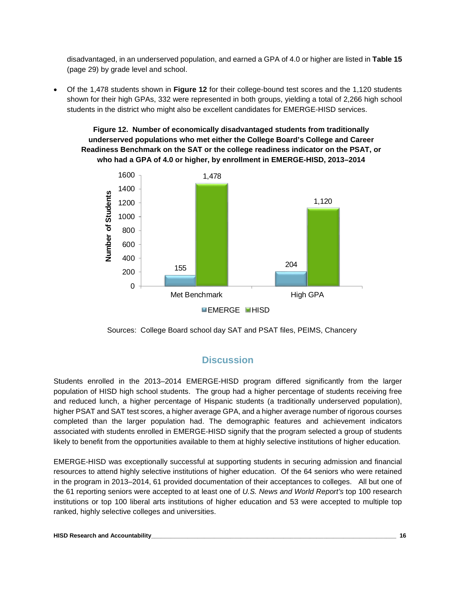disadvantaged, in an underserved population, and earned a GPA of 4.0 or higher are listed in **Table 15** (page 29) by grade level and school.

• Of the 1,478 students shown in **Figure 12** for their college-bound test scores and the 1,120 students shown for their high GPAs, 332 were represented in both groups, yielding a total of 2,266 high school students in the district who might also be excellent candidates for EMERGE-HISD services.

# **Figure 12. Number of economically disadvantaged students from traditionally underserved populations who met either the College Board's College and Career Readiness Benchmark on the SAT or the college readiness indicator on the PSAT, or who had a GPA of 4.0 or higher, by enrollment in EMERGE-HISD, 2013–2014**



Sources: College Board school day SAT and PSAT files, PEIMS, Chancery

# **Discussion**

Students enrolled in the 2013–2014 EMERGE-HISD program differed significantly from the larger population of HISD high school students. The group had a higher percentage of students receiving free and reduced lunch, a higher percentage of Hispanic students (a traditionally underserved population), higher PSAT and SAT test scores, a higher average GPA, and a higher average number of rigorous courses completed than the larger population had. The demographic features and achievement indicators associated with students enrolled in EMERGE-HISD signify that the program selected a group of students likely to benefit from the opportunities available to them at highly selective institutions of higher education.

EMERGE-HISD was exceptionally successful at supporting students in securing admission and financial resources to attend highly selective institutions of higher education. Of the 64 seniors who were retained in the program in 2013–2014, 61 provided documentation of their acceptances to colleges. All but one of the 61 reporting seniors were accepted to at least one of *U.S. News and World Report's* top 100 research institutions or top 100 liberal arts institutions of higher education and 53 were accepted to multiple top ranked, highly selective colleges and universities.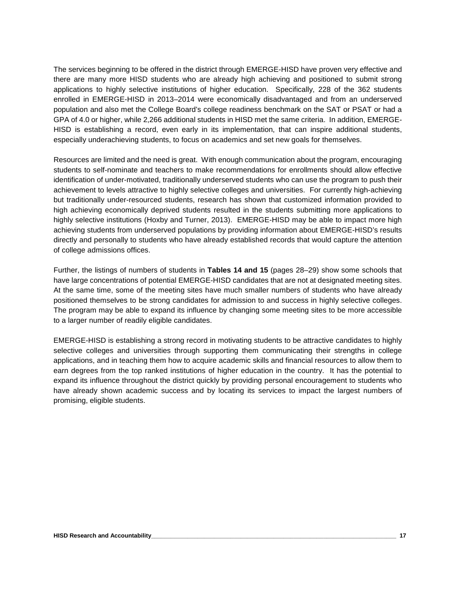The services beginning to be offered in the district through EMERGE-HISD have proven very effective and there are many more HISD students who are already high achieving and positioned to submit strong applications to highly selective institutions of higher education. Specifically, 228 of the 362 students enrolled in EMERGE-HISD in 2013–2014 were economically disadvantaged and from an underserved population and also met the College Board's college readiness benchmark on the SAT or PSAT or had a GPA of 4.0 or higher, while 2,266 additional students in HISD met the same criteria. In addition, EMERGE-HISD is establishing a record, even early in its implementation, that can inspire additional students, especially underachieving students, to focus on academics and set new goals for themselves.

Resources are limited and the need is great. With enough communication about the program, encouraging students to self-nominate and teachers to make recommendations for enrollments should allow effective identification of under-motivated, traditionally underserved students who can use the program to push their achievement to levels attractive to highly selective colleges and universities. For currently high-achieving but traditionally under-resourced students, research has shown that customized information provided to high achieving economically deprived students resulted in the students submitting more applications to highly selective institutions (Hoxby and Turner, 2013). EMERGE-HISD may be able to impact more high achieving students from underserved populations by providing information about EMERGE-HISD's results directly and personally to students who have already established records that would capture the attention of college admissions offices.

Further, the listings of numbers of students in **Tables 14 and 15** (pages 28–29) show some schools that have large concentrations of potential EMERGE-HISD candidates that are not at designated meeting sites. At the same time, some of the meeting sites have much smaller numbers of students who have already positioned themselves to be strong candidates for admission to and success in highly selective colleges. The program may be able to expand its influence by changing some meeting sites to be more accessible to a larger number of readily eligible candidates.

EMERGE-HISD is establishing a strong record in motivating students to be attractive candidates to highly selective colleges and universities through supporting them communicating their strengths in college applications, and in teaching them how to acquire academic skills and financial resources to allow them to earn degrees from the top ranked institutions of higher education in the country. It has the potential to expand its influence throughout the district quickly by providing personal encouragement to students who have already shown academic success and by locating its services to impact the largest numbers of promising, eligible students.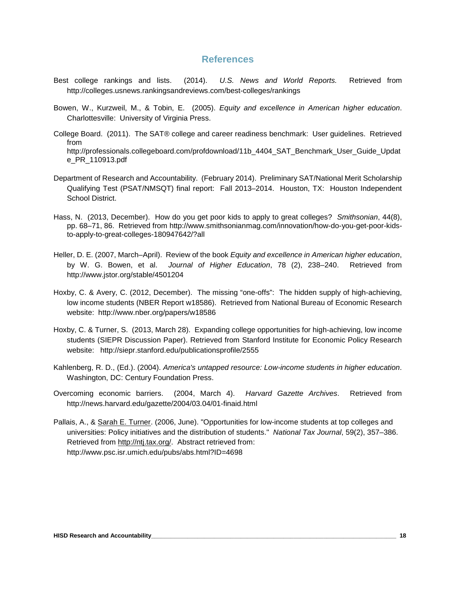# **References**

- Best college rankings and lists. (2014). *U.S. News and World Reports.* Retrieved from http://colleges.usnews.rankingsandreviews.com/best-colleges/rankings
- Bowen, W., Kurzweil, M., & Tobin, E. (2005). *Equity and excellence in American higher education*. Charlottesville: University of Virginia Press.
- College Board. (2011). The SAT® college and career readiness benchmark: User guidelines. Retrieved from [http://professionals.collegeboard.com/profdownload/11b\\_4404\\_SAT\\_Benchmark\\_User\\_Guide\\_Updat](http://professionals.collegeboard.com/profdownload/11b_4404_SAT_Benchmark_User_Guide_Update_PR_110913.pdf) [e\\_PR\\_110913.pdf](http://professionals.collegeboard.com/profdownload/11b_4404_SAT_Benchmark_User_Guide_Update_PR_110913.pdf)
- Department of Research and Accountability. (February 2014). Preliminary SAT/National Merit Scholarship Qualifying Test (PSAT/NMSQT) final report: Fall 2013–2014. Houston, TX: Houston Independent School District.
- Hass, N. (2013, December). How do you get poor kids to apply to great colleges? *Smithsonian*, 44(8), pp. 68–71, 86. Retrieved from http://www.smithsonianmag.com/innovation/how-do-you-get-poor-kidsto-apply-to-great-colleges-180947642/?all
- Heller, D. E. (2007, March–April). Review of the book *Equity and excellence in American higher education*, by W. G. Bowen, et al. *Journal of Higher Education*, 78 (2), 238–240. Retrieved from <http://www.jstor.org/stable/4501204>
- Hoxby, C. & Avery, C. (2012, December). The missing "one-offs": The hidden supply of high-achieving, low income students (NBER Report w18586). Retrieved from National Bureau of Economic Research website: http://www.nber.org/papers/w18586
- Hoxby, C. & Turner, S. (2013, March 28). Expanding college opportunities for high-achieving, low income students (SIEPR Discussion Paper). Retrieved from Stanford Institute for Economic Policy Research website: <http://siepr.stanford.edu/publicationsprofile/2555>
- Kahlenberg, R. D., (Ed.). (2004). *America's untapped resource: Low-income students in higher education*. Washington, DC: Century Foundation Press.
- Overcoming economic barriers. (2004, March 4). *Harvard Gazette Archives*. Retrieved from <http://news.harvard.edu/gazette/2004/03.04/01-finaid.html>
- Pallais, A., & [Sarah E. Turner.](http://www.psc.isr.umich.edu/people/profile/388/Sarah_E_Turner) (2006, June). "Opportunities for low-income students at top colleges and universities: Policy initiatives and the distribution of students." *National Tax Journal*, 59(2), 357–386. Retrieved from [http://ntj.tax.org/.](http://ntj.tax.org/) Abstract retrieved from: <http://www.psc.isr.umich.edu/pubs/abs.html?ID=4698>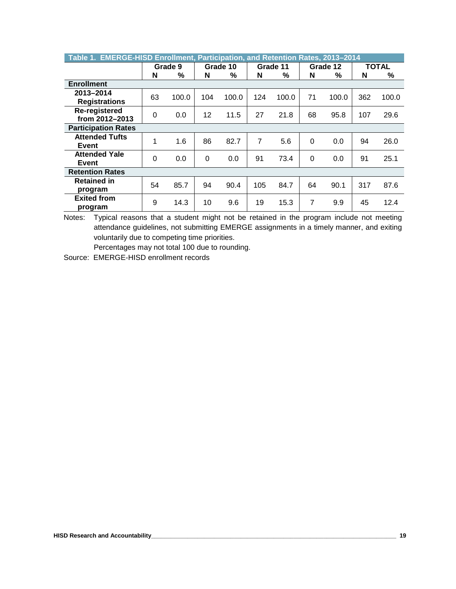| Table 1. EMERGE-HISD Enrollment, Participation, and Retention Rates, 2013-2014 |          |         |          |       |     |          |                |       |       |       |
|--------------------------------------------------------------------------------|----------|---------|----------|-------|-----|----------|----------------|-------|-------|-------|
|                                                                                |          | Grade 9 | Grade 10 |       |     | Grade 11 | Grade 12       |       | TOTAL |       |
|                                                                                | N        | %       | N        | %     | N   | %        | N              | %     | N     | %     |
| <b>Enrollment</b>                                                              |          |         |          |       |     |          |                |       |       |       |
| 2013-2014                                                                      | 63       | 100.0   | 104      | 100.0 | 124 | 100.0    | 71             | 100.0 | 362   | 100.0 |
| <b>Registrations</b>                                                           |          |         |          |       |     |          |                |       |       |       |
| Re-registered                                                                  | 0        | 0.0     | 12       | 11.5  | 27  | 21.8     | 68             | 95.8  | 107   | 29.6  |
| from 2012-2013                                                                 |          |         |          |       |     |          |                |       |       |       |
| <b>Participation Rates</b>                                                     |          |         |          |       |     |          |                |       |       |       |
| <b>Attended Tufts</b>                                                          | 1        | 1.6     | 86       | 82.7  | 7   | 5.6      | $\Omega$       | 0.0   | 94    | 26.0  |
| Event                                                                          |          |         |          |       |     |          |                |       |       |       |
| <b>Attended Yale</b>                                                           | $\Omega$ | 0.0     | $\Omega$ | 0.0   | 91  | 73.4     | $\Omega$       | 0.0   | 91    | 25.1  |
| Event                                                                          |          |         |          |       |     |          |                |       |       |       |
| <b>Retention Rates</b>                                                         |          |         |          |       |     |          |                |       |       |       |
| <b>Retained in</b>                                                             | 54       | 85.7    | 94       | 90.4  | 105 | 84.7     | 64             | 90.1  | 317   | 87.6  |
| program                                                                        |          |         |          |       |     |          |                |       |       |       |
| <b>Exited from</b>                                                             | 9        | 14.3    | 10       | 9.6   | 19  | 15.3     | $\overline{7}$ | 9.9   | 45    | 12.4  |
| program                                                                        |          |         |          |       |     |          |                |       |       |       |

Notes: Typical reasons that a student might not be retained in the program include not meeting attendance guidelines, not submitting EMERGE assignments in a timely manner, and exiting voluntarily due to competing time priorities.

Percentages may not total 100 due to rounding.

Source: EMERGE-HISD enrollment records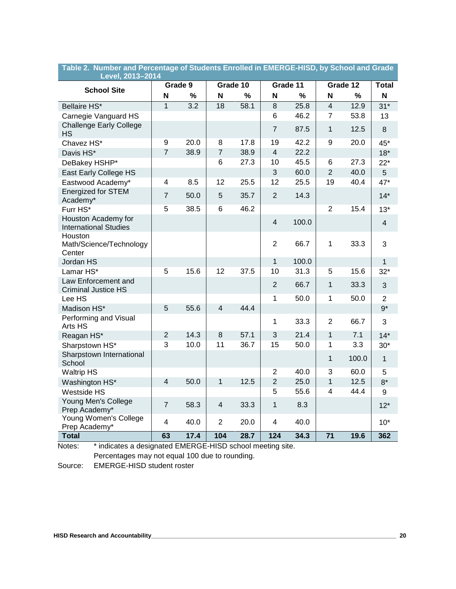| Level, 2013–2014                                    |                         |                  |                |          |                         |          |                 |          |                |
|-----------------------------------------------------|-------------------------|------------------|----------------|----------|-------------------------|----------|-----------------|----------|----------------|
| <b>School Site</b>                                  |                         | Grade 9          |                | Grade 10 |                         | Grade 11 |                 | Grade 12 | <b>Total</b>   |
|                                                     | N                       | %                | N              | $\%$     | N                       | %        | N               | $\%$     | N              |
| Bellaire HS*                                        | $\overline{1}$          | $\overline{3.2}$ | 18             | 58.1     | $\overline{8}$          | 25.8     | $\overline{4}$  | 12.9     | $31*$          |
| Carnegie Vanguard HS                                |                         |                  |                |          | 6                       | 46.2     | $\overline{7}$  | 53.8     | 13             |
| <b>Challenge Early College</b><br><b>HS</b>         |                         |                  |                |          | $\overline{7}$          | 87.5     | 1               | 12.5     | 8              |
| Chavez HS*                                          | 9                       | 20.0             | 8              | 17.8     | 19                      | 42.2     | 9               | 20.0     | 45*            |
| Davis HS*                                           | $\overline{7}$          | 38.9             | $\overline{7}$ | 38.9     | $\overline{4}$          | 22.2     |                 |          | $18*$          |
| DeBakey HSHP*                                       |                         |                  | 6              | 27.3     | 10                      | 45.5     | 6               | 27.3     | $22*$          |
| East Early College HS                               |                         |                  |                |          | 3                       | 60.0     | $\overline{2}$  | 40.0     | 5              |
| Eastwood Academy*                                   | 4                       | 8.5              | 12             | 25.5     | 12                      | 25.5     | 19              | 40.4     | $47*$          |
| <b>Energized for STEM</b><br>Academy*               | $\overline{7}$          | 50.0             | 5              | 35.7     | $\overline{2}$          | 14.3     |                 |          | $14*$          |
| Furr HS*                                            | 5                       | 38.5             | 6              | 46.2     |                         |          | $\overline{2}$  | 15.4     | $13*$          |
| Houston Academy for<br><b>International Studies</b> |                         |                  |                |          | $\overline{4}$          | 100.0    |                 |          | 4              |
| Houston<br>Math/Science/Technology<br>Center        |                         |                  |                |          | $\overline{2}$          | 66.7     | 1               | 33.3     | 3              |
| Jordan HS                                           |                         |                  |                |          | $\mathbf{1}$            | 100.0    |                 |          | 1              |
| Lamar HS*                                           | 5                       | 15.6             | 12             | 37.5     | 10                      | 31.3     | 5               | 15.6     | $32*$          |
| Law Enforcement and<br><b>Criminal Justice HS</b>   |                         |                  |                |          | $\overline{2}$          | 66.7     | 1               | 33.3     | 3              |
| Lee HS                                              |                         |                  |                |          | 1                       | 50.0     | 1               | 50.0     | $\overline{2}$ |
| Madison HS*                                         | 5                       | 55.6             | $\overline{4}$ | 44.4     |                         |          |                 |          | $9*$           |
| Performing and Visual<br>Arts HS                    |                         |                  |                |          | 1                       | 33.3     | $\overline{2}$  | 66.7     | 3              |
| Reagan HS*                                          | $\overline{2}$          | 14.3             | 8              | 57.1     | 3                       | 21.4     | 1               | 7.1      | $14*$          |
| Sharpstown HS*                                      | 3                       | 10.0             | 11             | 36.7     | 15                      | 50.0     | 1               | 3.3      | $30*$          |
| Sharpstown International<br>School                  |                         |                  |                |          |                         |          | 1               | 100.0    | $\mathbf{1}$   |
| <b>Waltrip HS</b>                                   |                         |                  |                |          | $\overline{2}$          | 40.0     | 3               | 60.0     | 5              |
| Washington HS*                                      | $\overline{\mathbf{4}}$ | 50.0             | 1              | 12.5     | $\overline{2}$          | 25.0     | $\mathbf{1}$    | 12.5     | $8*$           |
| <b>Westside HS</b>                                  |                         |                  |                |          | 5                       | 55.6     | 4               | 44.4     | 9              |
| Young Men's College<br>Prep Academy*                | $\overline{7}$          | 58.3             | $\overline{4}$ | 33.3     | $\mathbf{1}$            | 8.3      |                 |          | $12*$          |
| Young Women's College<br>Prep Academy*              | 4                       | 40.0             | $\overline{2}$ | 20.0     | $\overline{\mathbf{4}}$ | 40.0     |                 |          | $10*$          |
| <b>Total</b>                                        | $\overline{63}$         | 17.4             | 104            | 28.7     | 124                     | 34.3     | $\overline{71}$ | 19.6     | 362            |

# **Table 2. Number and Percentage of Students Enrolled in EMERGE-HISD, by School and Grade**

 Notes: \* indicates a designated EMERGE-HISD school meeting site. Percentages may not equal 100 due to rounding.

Source: EMERGE-HISD student roster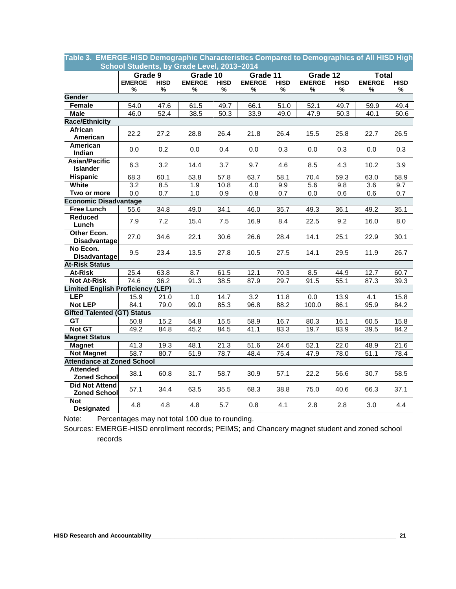| School Students, by Grade Level, 2013-2014   |                  |                   |               |                  |               |                   |                   |             |               |                  |
|----------------------------------------------|------------------|-------------------|---------------|------------------|---------------|-------------------|-------------------|-------------|---------------|------------------|
|                                              | Grade 9          |                   | Grade 10      |                  | Grade 11      |                   | Grade 12          |             | <b>Total</b>  |                  |
|                                              | <b>EMERGE</b>    | <b>HISD</b>       | <b>EMERGE</b> | <b>HISD</b>      | <b>EMERGE</b> | <b>HISD</b>       | <b>EMERGE</b>     | <b>HISD</b> | <b>EMERGE</b> | <b>HISD</b>      |
|                                              | %                | ℅                 | %             | %                | %             | %                 | ℅                 | %           | %             | ℅                |
| <b>Gender</b>                                |                  |                   |               |                  |               |                   |                   |             |               |                  |
| Female                                       | 54.0             | 47.6              | 61.5          | 49.7             | 66.1          | 51.0              | 52.1              | 49.7        | 59.9          | 49.4             |
| <b>Male</b>                                  | 46.0             | $\overline{52.4}$ | 38.5          | 50.3             | 33.9          | 49.0              | $\overline{47.9}$ | 50.3        | 40.1          | 50.6             |
| <b>Race/Ethnicity</b>                        |                  |                   |               |                  |               |                   |                   |             |               |                  |
| <b>African</b>                               | 22.2             | 27.2              | 28.8          | 26.4             | 21.8          | 26.4              | 15.5              | 25.8        | 22.7          | 26.5             |
| American                                     |                  |                   |               |                  |               |                   |                   |             |               |                  |
| American<br>Indian                           | 0.0              | 0.2               | 0.0           | 0.4              | 0.0           | 0.3               | 0.0               | 0.3         | 0.0           | 0.3              |
| <b>Asian/Pacific</b><br><b>Islander</b>      | 6.3              | 3.2               | 14.4          | 3.7              | 9.7           | 4.6               | 8.5               | 4.3         | 10.2          | 3.9              |
| <b>Hispanic</b>                              | 68.3             | 60.1              | 53.8          | 57.8             | 63.7          | 58.1              | 70.4              | 59.3        | 63.0          | 58.9             |
| <b>White</b>                                 | $\overline{3.2}$ | 8.5               | 1.9           | 10.8             | 4.0           | 9.9               | 5.6               | 9.8         | 3.6           | 9.7              |
| Two or more                                  | $\overline{0.0}$ | $\overline{0.7}$  | 1.0           | $\overline{0.9}$ | 0.8           | $\overline{0.7}$  | $\overline{0.0}$  | 0.6         | 0.6           | $\overline{0.7}$ |
| <b>Economic Disadvantage</b>                 |                  |                   |               |                  |               |                   |                   |             |               |                  |
| <b>Free Lunch</b>                            | 55.6             | 34.8              | 49.0          | 34.1             | 46.0          | 35.7              | 49.3              | 36.1        | 49.2          | 35.1             |
| <b>Reduced</b>                               |                  |                   |               |                  |               |                   |                   |             |               |                  |
| Lunch                                        | 7.9              | 7.2               | 15.4          | 7.5              | 16.9          | 8.4               | 22.5              | 9.2         | 16.0          | 8.0              |
| Other Econ.<br><b>Disadvantage</b>           | 27.0             | 34.6              | 22.1          | 30.6             | 26.6          | 28.4              | 14.1              | 25.1        | 22.9          | 30.1             |
| No Econ.<br><b>Disadvantage</b>              | 9.5              | 23.4              | 13.5          | 27.8             | 10.5          | 27.5              | 14.1              | 29.5        | 11.9          | 26.7             |
| <b>At-Risk Status</b>                        |                  |                   |               |                  |               |                   |                   |             |               |                  |
| At-Risk                                      | 25.4             | 63.8              | 8.7           | 61.5             | 12.1          | 70.3              | 8.5               | 44.9        | 12.7          | 60.7             |
| <b>Not At-Risk</b>                           | 74.6             | 36.2              | 91.3          | 38.5             | 87.9          | 29.7              | 91.5              | 55.1        | 87.3          | 39.3             |
| <b>Limited English Proficiency (LEP)</b>     |                  |                   |               |                  |               |                   |                   |             |               |                  |
| <b>LEP</b>                                   | 15.9             | 21.0              | 1.0           | 14.7             | 3.2           | 11.8              | 0.0               | 13.9        | 4.1           | 15.8             |
| <b>Not LEP</b>                               | 84.1             | 79.0              | 99.0          | 85.3             | 96.8          | 88.2              | 100.0             | 86.1        | 95.9          | 84.2             |
| <b>Gifted Talented (GT) Status</b>           |                  |                   |               |                  |               |                   |                   |             |               |                  |
| GT                                           | 50.8             | 15.2              | 54.8          | 15.5             | 58.9          | 16.7              | 80.3              | 16.1        | 60.5          | 15.8             |
| <b>Not GT</b>                                | 49.2             | 84.8              | 45.2          | 84.5             | 41.1          | 83.3              | 19.7              | 83.9        | 39.5          | 84.2             |
| <b>Magnet Status</b>                         |                  |                   |               |                  |               |                   |                   |             |               |                  |
| <b>Magnet</b>                                | 41.3             | 19.3              | 48.1          | 21.3             | 51.6          | $\overline{24.6}$ | 52.1              | 22.0        | 48.9          | 21.6             |
| <b>Not Magnet</b>                            | 58.7             | 80.7              | 51.9          | 78.7             | 48.4          | 75.4              | 47.9              | 78.0        | 51.1          | 78.4             |
| <b>Attendance at Zoned School</b>            |                  |                   |               |                  |               |                   |                   |             |               |                  |
| <b>Attended</b><br><b>Zoned School</b>       | 38.1             | 60.8              | 31.7          | 58.7             | 30.9          | 57.1              | 22.2              | 56.6        | 30.7          | 58.5             |
| <b>Did Not Attend</b><br><b>Zoned School</b> | 57.1             | 34.4              | 63.5          | 35.5             | 68.3          | 38.8              | 75.0              | 40.6        | 66.3          | 37.1             |
| <b>Not</b><br><b>Designated</b>              | 4.8              | 4.8               | 4.8           | 5.7              | 0.8           | 4.1               | 2.8               | 2.8         | 3.0           | 4.4              |

**Table 3. EMERGE-HISD Demographic Characteristics Compared to Demographics of All HISD High** 

Note: Percentages may not total 100 due to rounding.

 Sources: EMERGE-HISD enrollment records; PEIMS; and Chancery magnet student and zoned school records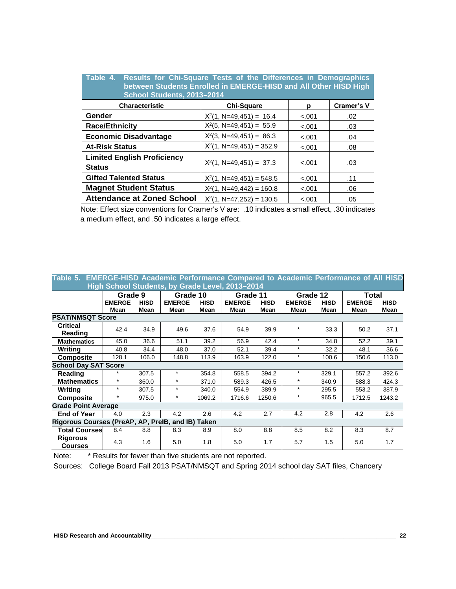| Table 4. Results for Chi-Square Tests of the Differences in Demographics<br>between Students Enrolled in EMERGE-HISD and All Other HISD High<br>School Students, 2013-2014 |                             |         |                   |  |  |  |  |  |
|----------------------------------------------------------------------------------------------------------------------------------------------------------------------------|-----------------------------|---------|-------------------|--|--|--|--|--|
| <b>Characteristic</b>                                                                                                                                                      | <b>Chi-Square</b>           | р       | <b>Cramer's V</b> |  |  |  |  |  |
| Gender                                                                                                                                                                     | $X^2(1, N=49, 451) = 16.4$  | $-.001$ | .02               |  |  |  |  |  |
| <b>Race/Ethnicity</b>                                                                                                                                                      | $X^2(5, N=49, 451) = 55.9$  | $-.001$ | .03               |  |  |  |  |  |
| <b>Economic Disadvantage</b>                                                                                                                                               | $X^2(3, N=49, 451) = 86.3$  | $-.001$ | .04               |  |  |  |  |  |
| <b>At-Risk Status</b>                                                                                                                                                      | $X^2(1, N=49, 451) = 352.9$ | $-.001$ | .08               |  |  |  |  |  |
| <b>Limited English Proficiency</b><br><b>Status</b>                                                                                                                        | $X^2(1, N=49, 451) = 37.3$  | $-.001$ | .03               |  |  |  |  |  |
| <b>Gifted Talented Status</b>                                                                                                                                              | $X^2(1, N=49, 451) = 548.5$ | $-.001$ | .11               |  |  |  |  |  |
| <b>Magnet Student Status</b>                                                                                                                                               | $X^2(1, N=49, 442) = 160.8$ | $-.001$ | .06               |  |  |  |  |  |
| <b>Attendance at Zoned School</b>                                                                                                                                          | $X^2(1, N=47, 252) = 130.5$ | $-.001$ | .05               |  |  |  |  |  |

Note: Effect size conventions for Cramer's V are: .10 indicates a small effect, .30 indicates a medium effect, and .50 indicates a large effect.

| Table 5. EMERGE-HISD Academic Performance Compared to Academic Performance of All HISD<br>High School Students, by Grade Level, 2013-2014 |                          |             |                           |             |               |                     |                       |                         |                        |             |
|-------------------------------------------------------------------------------------------------------------------------------------------|--------------------------|-------------|---------------------------|-------------|---------------|---------------------|-----------------------|-------------------------|------------------------|-------------|
|                                                                                                                                           | Grade 9<br><b>EMERGE</b> | <b>HISD</b> | Grade 10<br><b>EMERGE</b> | <b>HISD</b> | <b>EMERGE</b> | Grade 11            |                       | Grade 12<br><b>HISD</b> | Total<br><b>EMERGE</b> | <b>HISD</b> |
|                                                                                                                                           | Mean                     | Mean        | Mean                      | Mean        | Mean          | <b>HISD</b><br>Mean | <b>EMERGE</b><br>Mean | Mean                    | Mean                   | Mean        |
| <b>PSAT/NMSQT Score</b>                                                                                                                   |                          |             |                           |             |               |                     |                       |                         |                        |             |
| <b>Critical</b><br><b>Reading</b>                                                                                                         | 42.4                     | 34.9        | 49.6                      | 37.6        | 54.9          | 39.9                | $\star$               | 33.3                    | 50.2                   | 37.1        |
| <b>Mathematics</b>                                                                                                                        | 45.0                     | 36.6        | 51.1                      | 39.2        | 56.9          | 42.4                | $\star$               | 34.8                    | 52.2                   | 39.1        |
| Writina                                                                                                                                   | 40.8                     | 34.4        | 48.0                      | 37.0        | 52.1          | 39.4                | $\star$               | 32.2                    | 48.1                   | 36.6        |
| <b>Composite</b>                                                                                                                          | 128.1                    | 106.0       | 148.8                     | 113.9       | 163.9         | 122.0               | $\star$               | 100.6                   | 150.6                  | 113.0       |
| <b>School Day SAT Score</b>                                                                                                               |                          |             |                           |             |               |                     |                       |                         |                        |             |
| Reading                                                                                                                                   | $\star$                  | 307.5       | $\star$                   | 354.8       | 558.5         | 394.2               | $\star$               | 329.1                   | 557.2                  | 392.6       |
| <b>Mathematics</b>                                                                                                                        | $\star$                  | 360.0       | $\star$                   | 371.0       | 589.3         | 426.5               | $\star$               | 340.9                   | 588.3                  | 424.3       |
| Writing                                                                                                                                   | $\star$                  | 307.5       | $\star$                   | 340.0       | 554.9         | 389.9               | $\star$               | 295.5                   | 553.2                  | 387.9       |
| <b>Composite</b>                                                                                                                          | $\star$                  | 975.0       | $\ast$                    | 1069.2      | 1716.6        | 1250.6              | $\ast$                | 965.5                   | 1712.5                 | 1243.2      |
| <b>Grade Point Average</b>                                                                                                                |                          |             |                           |             |               |                     |                       |                         |                        |             |
| <b>End of Year</b>                                                                                                                        | 4.0                      | 2.3         | 4.2                       | 2.6         | 4.2           | 2.7                 | 4.2                   | 2.8                     | 4.2                    | 2.6         |
| Rigorous Courses (PreAP, AP, PreIB, and IB)                                                                                               |                          |             |                           | Taken       |               |                     |                       |                         |                        |             |
| <b>Total Courses</b>                                                                                                                      | 8.4                      | 8.8         | 8.3                       | 8.9         | 8.0           | 8.8                 | 8.5                   | 8.2                     | 8.3                    | 8.7         |
| <b>Rigorous</b><br><b>Courses</b>                                                                                                         | 4.3                      | 1.6         | 5.0                       | 1.8         | 5.0           | 1.7                 | 5.7                   | 1.5                     | 5.0                    | 1.7         |

Note: \* Results for fewer than five students are not reported.

Sources: College Board Fall 2013 PSAT/NMSQT and Spring 2014 school day SAT files, Chancery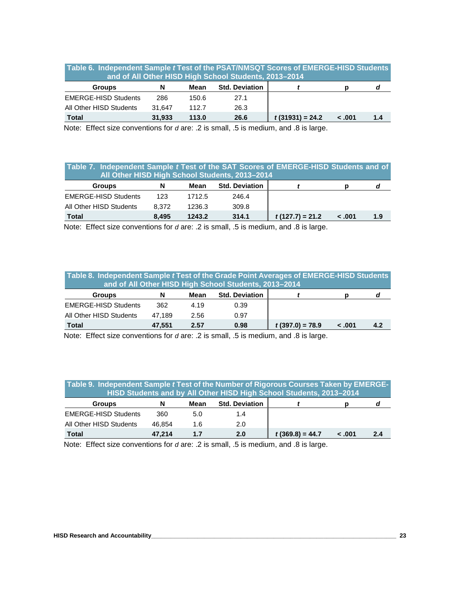| Table 6. Independent Sample t Test of the PSAT/NMSQT Scores of EMERGE-HISD Students |
|-------------------------------------------------------------------------------------|
| and of All Other HISD High School Students, 2013-2014                               |

| <b>Groups</b>               | N      | Mean  | <b>Std. Deviation</b> |                   |        |     |
|-----------------------------|--------|-------|-----------------------|-------------------|--------|-----|
| <b>EMERGE-HISD Students</b> | 286    | 150.6 | 27.1                  |                   |        |     |
| All Other HISD Students     | 31.647 | 112.7 | 26.3                  |                   |        |     |
| <b>Total</b>                | 31.933 | 113.0 | 26.6                  | $t(31931) = 24.2$ | - .001 | 1.4 |

Note: Effect size conventions for *d* are: .2 is small, .5 is medium, and .8 is large.

# **Table 7. Independent Sample** *t* **Test of the SAT Scores of EMERGE-HISD Students and of All Other HISD High School Students, 2013–2014**

| <b>Groups</b>               | N     | Mean   | <b>Std. Deviation</b> |                   |        |     |  |  |
|-----------------------------|-------|--------|-----------------------|-------------------|--------|-----|--|--|
| <b>EMERGE-HISD Students</b> | 123   | 1712.5 | 246.4                 |                   |        |     |  |  |
| All Other HISD Students     | 8.372 | 1236.3 | 309.8                 |                   |        |     |  |  |
| Total                       | 8.495 | 1243.2 | 314.1                 | $t(127.7) = 21.2$ | 001. > | 1.9 |  |  |

Note: Effect size conventions for *d* are: .2 is small, .5 is medium, and .8 is large.

| Table 8. Independent Sample t Test of the Grade Point Averages of EMERGE-HISD Students<br>and of All Other HISD High School Students, 2013-2014 |        |      |                       |                   |        |     |  |
|-------------------------------------------------------------------------------------------------------------------------------------------------|--------|------|-----------------------|-------------------|--------|-----|--|
| <b>Groups</b>                                                                                                                                   | N      | Mean | <b>Std. Deviation</b> |                   |        | d   |  |
| <b>EMERGE-HISD Students</b>                                                                                                                     | 362    | 4.19 | 0.39                  |                   |        |     |  |
| All Other HISD Students                                                                                                                         | 47.189 | 2.56 | 0.97                  |                   |        |     |  |
| <b>Total</b>                                                                                                                                    | 47.551 | 2.57 | 0.98                  | $t(397.0) = 78.9$ | < .001 | 4.2 |  |

Note: Effect size conventions for *d* are: .2 is small, .5 is medium, and .8 is large.

| Table 9. Independent Sample t Test of the Number of Rigorous Courses Taken by EMERGE-<br>HISD Students and by All Other HISD High School Students, 2013-2014 |        |      |                       |                   |        |     |  |
|--------------------------------------------------------------------------------------------------------------------------------------------------------------|--------|------|-----------------------|-------------------|--------|-----|--|
| <b>Groups</b>                                                                                                                                                | N      | Mean | <b>Std. Deviation</b> |                   |        | a   |  |
| <b>EMERGE-HISD Students</b>                                                                                                                                  | 360    | 5.0  | 1.4                   |                   |        |     |  |
| All Other HISD Students                                                                                                                                      | 46.854 | 1.6  | 2.0                   |                   |        |     |  |
| <b>Total</b>                                                                                                                                                 | 47.214 | 1.7  | 2.0                   | $t(369.8) = 44.7$ | - .001 | 2.4 |  |

Note: Effect size conventions for *d* are: .2 is small, .5 is medium, and .8 is large.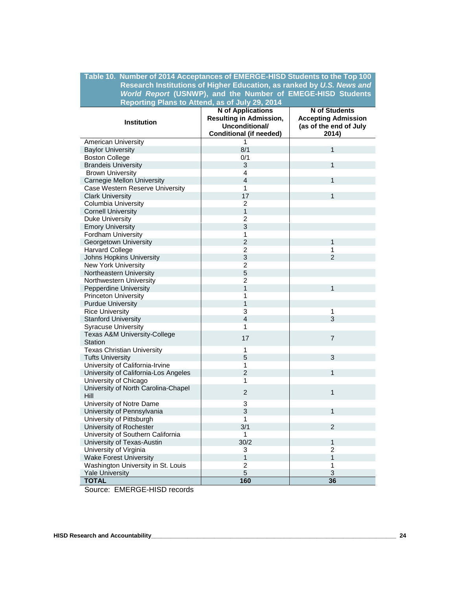#### **Table 10. Number of 2014 Acceptances of EMERGE-HISD Students to the Top 100 Research Institutions of Higher Education, as ranked by** *U.S. News and World Report* **(USNWP), and the Number of EMEGE-HISD Students Reporting Plans to Attend, as of July 29, 2014**

|                                             | <b>N</b> of Applications       | <b>N</b> of Students       |
|---------------------------------------------|--------------------------------|----------------------------|
|                                             | <b>Resulting in Admission,</b> | <b>Accepting Admission</b> |
| <b>Institution</b>                          | Unconditional/                 | (as of the end of July     |
|                                             | Conditional (if needed)        | 2014)                      |
| American University                         | 1                              |                            |
| <b>Baylor University</b>                    | 8/1                            | $\mathbf{1}$               |
| <b>Boston College</b>                       | 0/1                            |                            |
| <b>Brandeis University</b>                  | 3                              | $\mathbf{1}$               |
| <b>Brown University</b>                     | 4                              |                            |
| <b>Carnegie Mellon University</b>           | $\overline{4}$                 | $\mathbf{1}$               |
| Case Western Reserve University             | $\mathbf{1}$                   |                            |
| <b>Clark University</b>                     | 17                             | $\mathbf{1}$               |
| Columbia University                         | $\overline{2}$                 |                            |
| <b>Cornell University</b>                   | $\mathbf{1}$                   |                            |
| <b>Duke University</b>                      | $\overline{2}$                 |                            |
| <b>Emory University</b>                     | 3                              |                            |
| Fordham University                          | 1                              |                            |
| Georgetown University                       | $\overline{2}$                 | $\mathbf{1}$               |
| <b>Harvard College</b>                      | $\overline{2}$                 | 1                          |
| Johns Hopkins University                    | 3                              | $\overline{2}$             |
| <b>New York University</b>                  | $\overline{c}$                 |                            |
| Northeastern University                     | 5                              |                            |
| Northwestern University                     | $\overline{2}$                 |                            |
| Pepperdine University                       | $\overline{1}$                 | $\mathbf{1}$               |
| <b>Princeton University</b>                 | 1                              |                            |
| <b>Purdue University</b>                    | 1                              |                            |
| <b>Rice University</b>                      | 3                              | $\mathbf{1}$               |
| <b>Stanford University</b>                  | 4                              | 3                          |
| <b>Syracuse University</b>                  | 1                              |                            |
| Texas A&M University-College                | 17                             | $\overline{7}$             |
| <b>Station</b>                              |                                |                            |
| <b>Texas Christian University</b>           | $\mathbf{1}$                   |                            |
| <b>Tufts University</b>                     | 5                              | 3                          |
| University of California-Irvine             | 1                              |                            |
| University of California-Los Angeles        | $\overline{2}$                 | $\mathbf{1}$               |
| University of Chicago                       | 1                              |                            |
| University of North Carolina-Chapel<br>Hill | $\overline{2}$                 | $\mathbf{1}$               |
| University of Notre Dame                    | $\overline{3}$                 |                            |
| University of Pennsylvania                  | 3                              | $\mathbf{1}$               |
| University of Pittsburgh                    | 1                              |                            |
| University of Rochester                     | 3/1                            | 2                          |
| University of Southern California           | $\mathbf{1}$                   |                            |
| University of Texas-Austin                  | 30/2                           | $\mathbf{1}$               |
| University of Virginia                      | 3                              | $\overline{c}$             |
| <b>Wake Forest University</b>               | 1                              | $\mathbf{1}$               |
| Washington University in St. Louis          | $\overline{c}$                 | 1                          |
| <b>Yale University</b>                      | 5                              | 3                          |
| <b>TOTAL</b>                                | 160                            | 36                         |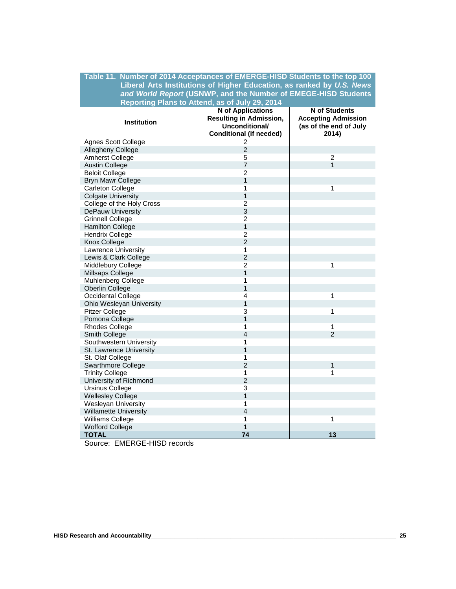## **Table 11. Number of 2014 Acceptances of EMERGE-HISD Students to the top 100 Liberal Arts Institutions of Higher Education, as ranked by** *U.S. News and World Report* **(USNWP, and the Number of EMEGE-HISD Students Reporting Plans to Attend, as of July 29, 2014**

| <b>Institution</b>           | <b>N</b> of Applications<br><b>Resulting in Admission,</b><br>Unconditional/ | N of Students<br><b>Accepting Admission</b> |  |  |
|------------------------------|------------------------------------------------------------------------------|---------------------------------------------|--|--|
|                              | <b>Conditional (if needed)</b>                                               | (as of the end of July<br>2014)             |  |  |
| Agnes Scott College          | $\overline{2}$                                                               |                                             |  |  |
| Allegheny College            | $\overline{2}$                                                               |                                             |  |  |
| Amherst College              | 5                                                                            | $\overline{2}$                              |  |  |
| <b>Austin College</b>        | $\overline{7}$                                                               | $\mathbf{1}$                                |  |  |
| <b>Beloit College</b>        | $\overline{2}$                                                               |                                             |  |  |
| <b>Bryn Mawr College</b>     | $\overline{1}$                                                               |                                             |  |  |
| <b>Carleton College</b>      | 1                                                                            | $\mathbf{1}$                                |  |  |
| <b>Colgate University</b>    | 1                                                                            |                                             |  |  |
| College of the Holy Cross    | $\overline{2}$                                                               |                                             |  |  |
| <b>DePauw University</b>     | 3                                                                            |                                             |  |  |
| <b>Grinnell College</b>      | $\overline{2}$                                                               |                                             |  |  |
| <b>Hamilton College</b>      | 1                                                                            |                                             |  |  |
| <b>Hendrix College</b>       | $\overline{2}$                                                               |                                             |  |  |
| Knox College                 | $\overline{2}$                                                               |                                             |  |  |
| Lawrence University          | 1                                                                            |                                             |  |  |
| Lewis & Clark College        | $\overline{2}$                                                               |                                             |  |  |
| Middlebury College           | $\overline{2}$                                                               | 1                                           |  |  |
| Millsaps College             | $\mathbf{1}$                                                                 |                                             |  |  |
| Muhlenberg College           | 1                                                                            |                                             |  |  |
| Oberlin College              | $\overline{1}$                                                               |                                             |  |  |
| Occidental College           | $\overline{4}$                                                               | 1                                           |  |  |
| Ohio Wesleyan University     | $\overline{1}$                                                               |                                             |  |  |
| <b>Pitzer College</b>        | 3                                                                            | $\mathbf{1}$                                |  |  |
| Pomona College               | $\overline{1}$                                                               |                                             |  |  |
| Rhodes College               | 1                                                                            | $\mathbf{1}$                                |  |  |
| Smith College                | $\overline{4}$                                                               | $\overline{2}$                              |  |  |
| Southwestern University      | 1                                                                            |                                             |  |  |
| St. Lawrence University      | $\overline{1}$                                                               |                                             |  |  |
| St. Olaf College             | 1                                                                            |                                             |  |  |
| <b>Swarthmore College</b>    | $\overline{2}$                                                               | $\mathbf{1}$                                |  |  |
| <b>Trinity College</b>       | 1                                                                            | 1                                           |  |  |
| University of Richmond       | $\overline{2}$                                                               |                                             |  |  |
| <b>Ursinus College</b>       | 3                                                                            |                                             |  |  |
| <b>Wellesley College</b>     | 1                                                                            |                                             |  |  |
| Wesleyan University          | 1                                                                            |                                             |  |  |
| <b>Willamette University</b> | $\overline{4}$                                                               |                                             |  |  |
| Williams College             | 1                                                                            | $\mathbf{1}$                                |  |  |
| <b>Wofford College</b>       | 1                                                                            |                                             |  |  |
| <b>TOTAL</b>                 | $\overline{74}$                                                              | 13                                          |  |  |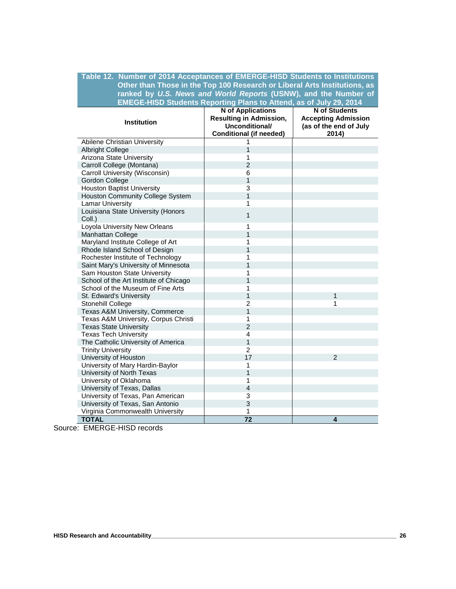#### **Table 12. Number of 2014 Acceptances of EMERGE-HISD Students to Institutions Other than Those in the Top 100 Research or Liberal Arts Institutions, as ranked by** *U.S. News and World Reports* **(USNW), and the Number of EMEGE-HISD Students Reporting Plans to Attend, as of July 29, 2014**

| <b>Institution</b>                           | <b>N</b> of Applications<br><b>Resulting in Admission,</b><br>Unconditional/<br><b>Conditional (if needed)</b> | N of Students<br><b>Accepting Admission</b><br>(as of the end of July<br>2014) |  |  |
|----------------------------------------------|----------------------------------------------------------------------------------------------------------------|--------------------------------------------------------------------------------|--|--|
| Abilene Christian University                 | 1                                                                                                              |                                                                                |  |  |
| <b>Albright College</b>                      | 1                                                                                                              |                                                                                |  |  |
| Arizona State University                     | 1                                                                                                              |                                                                                |  |  |
| Carroll College (Montana)                    | $\overline{2}$                                                                                                 |                                                                                |  |  |
| Carroll University (Wisconsin)               | 6                                                                                                              |                                                                                |  |  |
| <b>Gordon College</b>                        | 1                                                                                                              |                                                                                |  |  |
| <b>Houston Baptist University</b>            | 3                                                                                                              |                                                                                |  |  |
| Houston Community College System             | 1                                                                                                              |                                                                                |  |  |
| <b>Lamar University</b>                      | 1                                                                                                              |                                                                                |  |  |
| Louisiana State University (Honors<br>Coll.) | 1                                                                                                              |                                                                                |  |  |
| Loyola University New Orleans                | 1                                                                                                              |                                                                                |  |  |
| Manhattan College                            | 1                                                                                                              |                                                                                |  |  |
| Maryland Institute College of Art            | 1                                                                                                              |                                                                                |  |  |
| Rhode Island School of Design                | 1                                                                                                              |                                                                                |  |  |
| Rochester Institute of Technology            | 1                                                                                                              |                                                                                |  |  |
| Saint Mary's University of Minnesota         | $\overline{1}$                                                                                                 |                                                                                |  |  |
| Sam Houston State University                 | 1                                                                                                              |                                                                                |  |  |
| School of the Art Institute of Chicago       | 1                                                                                                              |                                                                                |  |  |
| School of the Museum of Fine Arts            | 1                                                                                                              |                                                                                |  |  |
| St. Edward's University                      | $\overline{1}$                                                                                                 | $\mathbf{1}$                                                                   |  |  |
| Stonehill College                            | $\overline{2}$                                                                                                 | 1                                                                              |  |  |
| Texas A&M University, Commerce               | 1                                                                                                              |                                                                                |  |  |
| Texas A&M University, Corpus Christi         | 1                                                                                                              |                                                                                |  |  |
| <b>Texas State University</b>                | $\overline{2}$                                                                                                 |                                                                                |  |  |
| <b>Texas Tech University</b>                 | 4                                                                                                              |                                                                                |  |  |
| The Catholic University of America           | 1                                                                                                              |                                                                                |  |  |
| <b>Trinity University</b>                    | $\overline{2}$                                                                                                 |                                                                                |  |  |
| University of Houston                        | 17                                                                                                             | $\overline{2}$                                                                 |  |  |
| University of Mary Hardin-Baylor             | 1                                                                                                              |                                                                                |  |  |
| University of North Texas                    | $\overline{1}$                                                                                                 |                                                                                |  |  |
| University of Oklahoma                       | 1                                                                                                              |                                                                                |  |  |
| University of Texas, Dallas                  | $\overline{4}$                                                                                                 |                                                                                |  |  |
| University of Texas, Pan American            | 3                                                                                                              |                                                                                |  |  |
| University of Texas, San Antonio             | 3                                                                                                              |                                                                                |  |  |
| Virginia Commonwealth University             | 1                                                                                                              |                                                                                |  |  |
| <b>TOTAL</b>                                 | $\overline{72}$                                                                                                | $\overline{\mathbf{4}}$                                                        |  |  |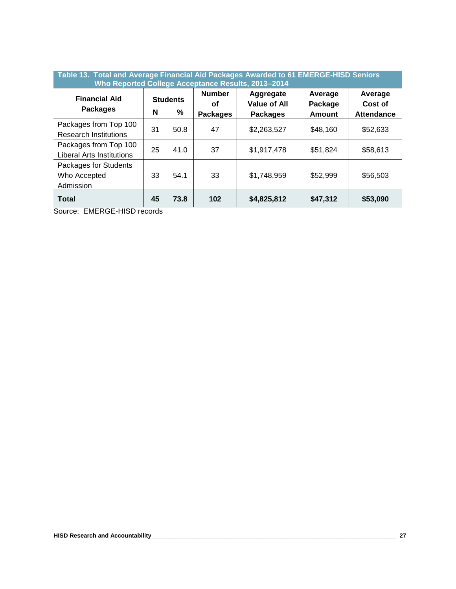| Table 13. Total and Average Financial Aid Packages Awarded to 61 EMERGE-HISD Seniors<br>Who Reported College Acceptance Results, 2013-2014 |    |                      |                                        |                                              |                                     |                                         |
|--------------------------------------------------------------------------------------------------------------------------------------------|----|----------------------|----------------------------------------|----------------------------------------------|-------------------------------------|-----------------------------------------|
| <b>Financial Aid</b><br><b>Packages</b>                                                                                                    | N  | <b>Students</b><br>% | <b>Number</b><br>Οf<br><b>Packages</b> | Aggregate<br>Value of All<br><b>Packages</b> | Average<br>Package<br><b>Amount</b> | Average<br>Cost of<br><b>Attendance</b> |
| Packages from Top 100<br><b>Research Institutions</b>                                                                                      | 31 | 50.8                 | 47                                     | \$2,263,527                                  | \$48,160                            | \$52,633                                |
| Packages from Top 100<br><b>Liberal Arts Institutions</b>                                                                                  | 25 | 41.0                 | 37                                     | \$1,917,478                                  | \$51,824                            | \$58,613                                |
| Packages for Students<br>Who Accepted<br>Admission                                                                                         | 33 | 54.1                 | 33                                     | \$1,748,959                                  | \$52,999                            | \$56,503                                |
| <b>Total</b>                                                                                                                               | 45 | 73.8                 | 102                                    | \$4,825,812                                  | \$47,312                            | \$53,090                                |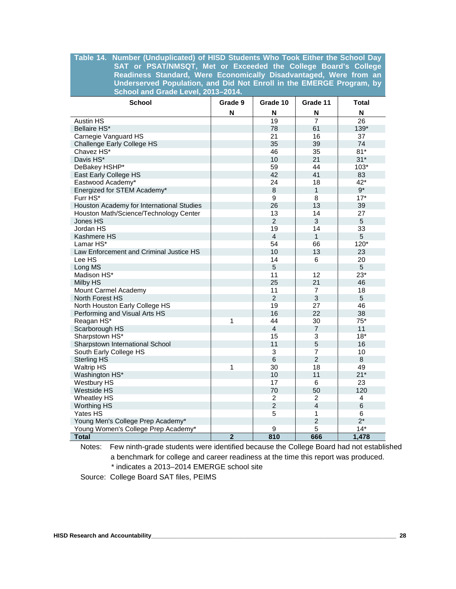#### **Table 14. Number (Unduplicated) of HISD Students Who Took Either the School Day SAT or PSAT/NMSQT, Met or Exceeded the College Board's College Readiness Standard, Were Economically Disadvantaged, Were from an Underserved Population, and Did Not Enroll in the EMERGE Program, by School and Grade Level, 2013–2014.**

| <b>School</b>                             | Grade 9        | Grade 10        | Grade 11       | <b>Total</b>    |
|-------------------------------------------|----------------|-----------------|----------------|-----------------|
|                                           | N              | N               | N              | N               |
| <b>Austin HS</b>                          |                | $\overline{19}$ | $\overline{7}$ | $\overline{26}$ |
| Bellaire HS*                              |                | 78              | 61             | 139*            |
| Carnegie Vanguard HS                      |                | 21              | 16             | 37              |
| Challenge Early College HS                |                | 35              | 39             | 74              |
| Chavez HS*                                |                | 46              | 35             | $81*$           |
| Davis HS*                                 |                | 10              | 21             | $31*$           |
| DeBakey HSHP*                             |                | 59              | 44             | $103*$          |
| East Early College HS                     |                | 42              | 41             | 83              |
| Eastwood Academy*                         |                | 24              | 18             | $42*$           |
| Energized for STEM Academy*               |                | $\,8\,$         | $\mathbf{1}$   | $9^{\star}$     |
| Furr HS*                                  |                | 9               | 8              | $17*$           |
| Houston Academy for International Studies |                | 26              | 13             | 39              |
| Houston Math/Science/Technology Center    |                | 13              | 14             | 27              |
| Jones HS                                  |                | $\overline{2}$  | 3              | 5               |
| Jordan HS                                 |                | 19              | 14             | 33              |
| Kashmere HS                               |                | $\overline{4}$  | $\mathbf{1}$   | 5               |
| Lamar HS*                                 |                | 54              | 66             | 120*            |
| Law Enforcement and Criminal Justice HS   |                | 10              | 13             | 23              |
| Lee HS                                    |                | 14              | 6              | 20              |
| Long MS                                   |                | 5               |                | 5               |
| Madison HS*                               |                | 11              | 12             | $23*$           |
| Milby HS                                  |                | 25              | 21             | 46              |
| Mount Carmel Academy                      |                | 11              | $\overline{7}$ | 18              |
| <b>North Forest HS</b>                    |                | $\overline{2}$  | 3              | 5               |
| North Houston Early College HS            |                | 19              | 27             | 46              |
| Performing and Visual Arts HS             |                | 16              | 22             | 38              |
| Reagan HS*                                | 1              | 44              | 30             | $75*$           |
| Scarborough HS                            |                | $\overline{4}$  | $\overline{7}$ | 11              |
| Sharpstown HS*                            |                | 15              | 3              | $18*$           |
| Sharpstown International School           |                | 11              | 5              | 16              |
| South Early College HS                    |                | $\overline{3}$  | $\overline{7}$ | 10              |
| <b>Sterling HS</b>                        |                | $6\phantom{1}$  | $\overline{2}$ | 8               |
| <b>Waltrip HS</b>                         | 1              | 30              | 18             | 49              |
| Washington HS*                            |                | 10              | 11             | $21*$           |
| Westbury HS                               |                | 17              | 6              | 23              |
| <b>Westside HS</b>                        |                | 70              | 50             | 120             |
| <b>Wheatley HS</b>                        |                | $\overline{2}$  | $\overline{2}$ | 4               |
| Worthing HS                               |                | $\overline{2}$  | $\overline{4}$ | $\,6$           |
| Yates HS                                  |                | 5               | 1              | 6               |
| Young Men's College Prep Academy*         |                |                 | $\overline{2}$ | $2^*$           |
| Young Women's College Prep Academy*       |                | 9               | 5              | $14*$           |
| <b>Total</b>                              | $\overline{2}$ | 810             | 666            | 1,478           |

Notes: Few ninth-grade students were identified because the College Board had not established a benchmark for college and career readiness at the time this report was produced. \* indicates a 2013–2014 EMERGE school site

Source: College Board SAT files, PEIMS